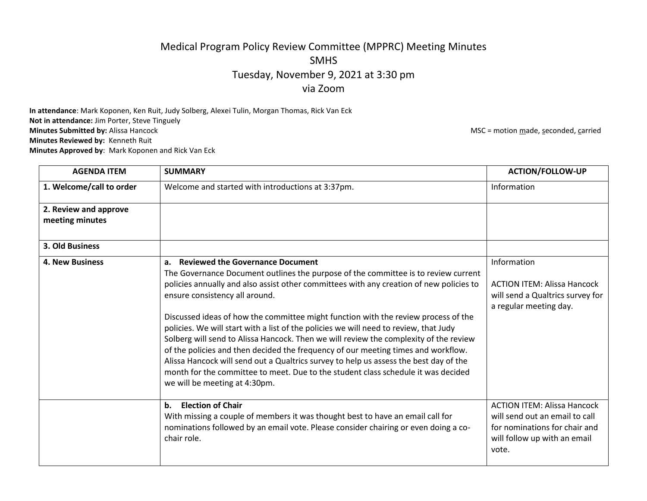## Medical Program Policy Review Committee (MPPRC) Meeting Minutes SMHS Tuesday, November 9, 2021 at 3:30 pm via Zoom

**In attendance**: Mark Koponen, Ken Ruit, Judy Solberg, Alexei Tulin, Morgan Thomas, Rick Van Eck **Not in attendance:** Jim Porter, Steve Tinguely<br>**Minutes Submitted by:** Alissa Hancock **Minutes Reviewed by:** Kenneth Ruit **Minutes Approved by**: Mark Koponen and Rick Van Eck

**MSC** = motion made, seconded, carried

| <b>AGENDA ITEM</b>                       | <b>SUMMARY</b>                                                                                                                                                                                                                                                                                                                                                                                                                                                                                                                                                                                                                                                                                                                                                                                                                               | <b>ACTION/FOLLOW-UP</b>                                                                                                                        |
|------------------------------------------|----------------------------------------------------------------------------------------------------------------------------------------------------------------------------------------------------------------------------------------------------------------------------------------------------------------------------------------------------------------------------------------------------------------------------------------------------------------------------------------------------------------------------------------------------------------------------------------------------------------------------------------------------------------------------------------------------------------------------------------------------------------------------------------------------------------------------------------------|------------------------------------------------------------------------------------------------------------------------------------------------|
| 1. Welcome/call to order                 | Welcome and started with introductions at 3:37pm.                                                                                                                                                                                                                                                                                                                                                                                                                                                                                                                                                                                                                                                                                                                                                                                            | Information                                                                                                                                    |
| 2. Review and approve<br>meeting minutes |                                                                                                                                                                                                                                                                                                                                                                                                                                                                                                                                                                                                                                                                                                                                                                                                                                              |                                                                                                                                                |
| 3. Old Business                          |                                                                                                                                                                                                                                                                                                                                                                                                                                                                                                                                                                                                                                                                                                                                                                                                                                              |                                                                                                                                                |
| <b>4. New Business</b>                   | <b>Reviewed the Governance Document</b><br>a.<br>The Governance Document outlines the purpose of the committee is to review current<br>policies annually and also assist other committees with any creation of new policies to<br>ensure consistency all around.<br>Discussed ideas of how the committee might function with the review process of the<br>policies. We will start with a list of the policies we will need to review, that Judy<br>Solberg will send to Alissa Hancock. Then we will review the complexity of the review<br>of the policies and then decided the frequency of our meeting times and workflow.<br>Alissa Hancock will send out a Qualtrics survey to help us assess the best day of the<br>month for the committee to meet. Due to the student class schedule it was decided<br>we will be meeting at 4:30pm. | Information<br><b>ACTION ITEM: Alissa Hancock</b><br>will send a Qualtrics survey for<br>a regular meeting day.                                |
|                                          | <b>Election of Chair</b><br>$\mathbf b$ .<br>With missing a couple of members it was thought best to have an email call for<br>nominations followed by an email vote. Please consider chairing or even doing a co-<br>chair role.                                                                                                                                                                                                                                                                                                                                                                                                                                                                                                                                                                                                            | <b>ACTION ITEM: Alissa Hancock</b><br>will send out an email to call<br>for nominations for chair and<br>will follow up with an email<br>vote. |